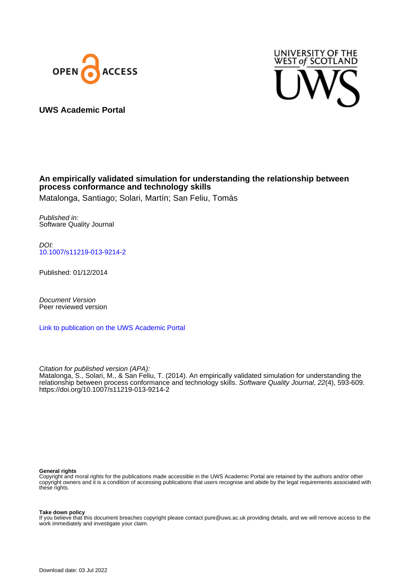



**UWS Academic Portal**

### **An empirically validated simulation for understanding the relationship between process conformance and technology skills**

Matalonga, Santiago; Solari, Martín; San Feliu, Tomás

Published in: Software Quality Journal

DOI: [10.1007/s11219-013-9214-2](https://doi.org/10.1007/s11219-013-9214-2)

Published: 01/12/2014

Document Version Peer reviewed version

[Link to publication on the UWS Academic Portal](https://uws.pure.elsevier.com/en/publications/a907cd6b-7d40-4398-93f5-7d7432d9b46d)

Citation for published version (APA):

Matalonga, S., Solari, M., & San Feliu, T. (2014). An empirically validated simulation for understanding the relationship between process conformance and technology skills. Software Quality Journal, 22(4), 593-609. <https://doi.org/10.1007/s11219-013-9214-2>

#### **General rights**

Copyright and moral rights for the publications made accessible in the UWS Academic Portal are retained by the authors and/or other copyright owners and it is a condition of accessing publications that users recognise and abide by the legal requirements associated with these rights.

**Take down policy**

If you believe that this document breaches copyright please contact pure@uws.ac.uk providing details, and we will remove access to the work immediately and investigate your claim.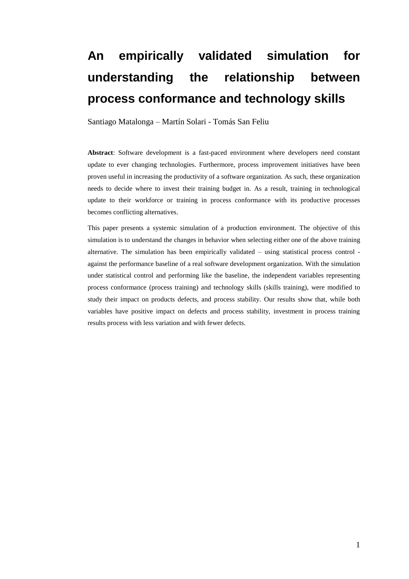# **An empirically validated simulation for understanding the relationship between process conformance and technology skills**

Santiago Matalonga – Martín Solari - Tomás San Feliu

**Abstract**: Software development is a fast-paced environment where developers need constant update to ever changing technologies. Furthermore, process improvement initiatives have been proven useful in increasing the productivity of a software organization. As such, these organization needs to decide where to invest their training budget in. As a result, training in technological update to their workforce or training in process conformance with its productive processes becomes conflicting alternatives.

This paper presents a systemic simulation of a production environment. The objective of this simulation is to understand the changes in behavior when selecting either one of the above training alternative. The simulation has been empirically validated – using statistical process control against the performance baseline of a real software development organization. With the simulation under statistical control and performing like the baseline, the independent variables representing process conformance (process training) and technology skills (skills training), were modified to study their impact on products defects, and process stability. Our results show that, while both variables have positive impact on defects and process stability, investment in process training results process with less variation and with fewer defects.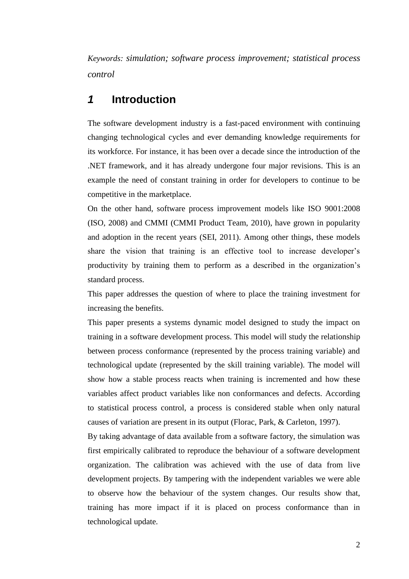*Keywords: simulation; software process improvement; statistical process control*

## *1* **Introduction**

The software development industry is a fast-paced environment with continuing changing technological cycles and ever demanding knowledge requirements for its workforce. For instance, it has been over a decade since the introduction of the .NET framework, and it has already undergone four major revisions. This is an example the need of constant training in order for developers to continue to be competitive in the marketplace.

On the other hand, software process improvement models like ISO 9001:2008 (ISO, 2008) and CMMI (CMMI Product Team, 2010), have grown in popularity and adoption in the recent years (SEI, 2011). Among other things, these models share the vision that training is an effective tool to increase developer's productivity by training them to perform as a described in the organization's standard process.

This paper addresses the question of where to place the training investment for increasing the benefits.

This paper presents a systems dynamic model designed to study the impact on training in a software development process. This model will study the relationship between process conformance (represented by the process training variable) and technological update (represented by the skill training variable). The model will show how a stable process reacts when training is incremented and how these variables affect product variables like non conformances and defects. According to statistical process control, a process is considered stable when only natural causes of variation are present in its output (Florac, Park, & Carleton, 1997).

By taking advantage of data available from a software factory, the simulation was first empirically calibrated to reproduce the behaviour of a software development organization. The calibration was achieved with the use of data from live development projects. By tampering with the independent variables we were able to observe how the behaviour of the system changes. Our results show that, training has more impact if it is placed on process conformance than in technological update.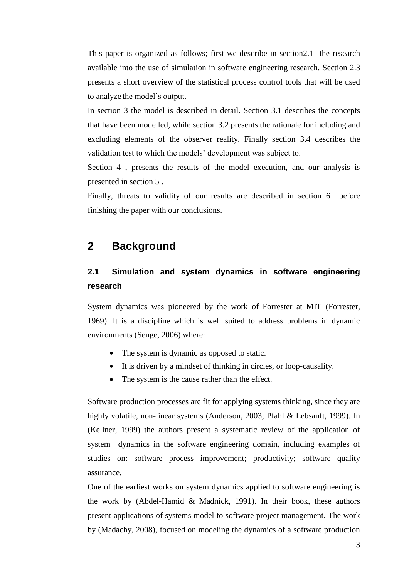This paper is organized as follows; first we describe in sectio[n2.1](#page-3-0) the research available into the use of simulation in software engineering research. Section [2.3](#page-5-0)  presents a short overview of the statistical process control tools that will be used to analyze the model's output.

In section [3 t](#page-6-0)he model is described in detail. Section [3.1 d](#page-6-1)escribes the concepts that have been modelled, while section [3.2 p](#page-7-0)resents the rationale for including and excluding elements of the observer reality. Finally section [3.4 d](#page-11-0)escribes the validation test to which the models' development was subject to.

Section [4 ,](#page-14-0) presents the results of the model execution, and our analysis is presented in section [5 .](#page-17-0)

Finally, threats to validity of our results are described in section [6](#page-18-0) before finishing the paper with our conclusions.

## **2 Background**

## <span id="page-3-0"></span>**2.1 Simulation and system dynamics in software engineering research**

System dynamics was pioneered by the work of Forrester at MIT (Forrester, 1969). It is a discipline which is well suited to address problems in dynamic environments (Senge, 2006) where:

- The system is dynamic as opposed to static.
- It is driven by a mindset of thinking in circles, or loop-causality.
- The system is the cause rather than the effect.

Software production processes are fit for applying systems thinking, since they are highly volatile, non-linear systems (Anderson, 2003; Pfahl & Lebsanft, 1999). In (Kellner, 1999) the authors present a systematic review of the application of system dynamics in the software engineering domain, including examples of studies on: software process improvement; productivity; software quality assurance.

One of the earliest works on system dynamics applied to software engineering is the work by (Abdel-Hamid & Madnick, 1991). In their book, these authors present applications of systems model to software project management. The work by (Madachy, 2008), focused on modeling the dynamics of a software production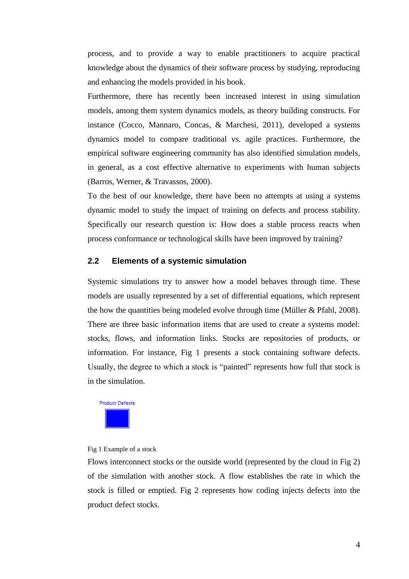process, and to provide a way to enable practitioners to acquire practical knowledge about the dynamics of their software process by studying, reproducing and enhancing the models provided in his book.

Furthermore, there has recently been increased interest in using simulation models, among them system dynamics models, as theory building constructs. For instance (Cocco, Mannaro, Concas, & Marchesi, 2011), developed a systems dynamics model to compare traditional vs. agile practices. Furthermore, the empirical software engineering community has also identified simulation models, in general, as a cost effective alternative to experiments with human subjects (Barros, Werner, & Travassos, 2000).

To the best of our knowledge, there have been no attempts at using a systems dynamic model to study the impact of training on defects and process stability. Specifically our research question is: How does a stable process reacts when process conformance or technological skills have been improved by training?

#### **2.2 Elements of a systemic simulation**

Systemic simulations try to answer how a model behaves through time. These models are usually represented by a set of differential equations, which represent the how the quantities being modeled evolve through time (Müller & Pfahl, 2008). There are three basic information items that are used to create a systems model: stocks, flows, and information links. Stocks are repositories of products, or information. For instance, [Fig 1](#page-4-0) presents a stock containing software defects. Usually, the degree to which a stock is "painted" represents how full that stock is in the simulation.



<span id="page-4-0"></span>Fig 1 Example of a stock

Flows interconnect stocks or the outside world (represented by the cloud in [Fig 2\)](#page-5-1) of the simulation with another stock. A flow establishes the rate in which the stock is filled or emptied. [Fig 2](#page-5-1) represents how coding injects defects into the product defect stocks.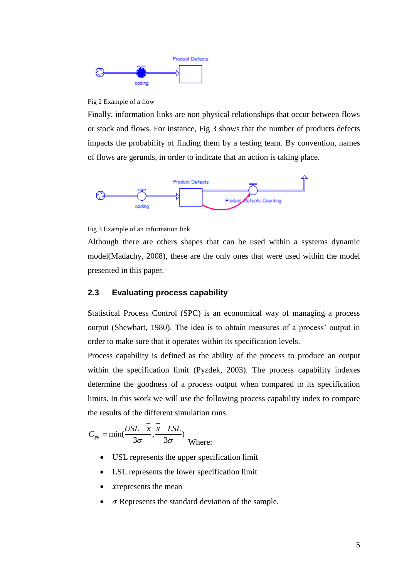

#### <span id="page-5-1"></span>Fig 2 Example of a flow

Finally, information links are non physical relationships that occur between flows or stock and flows. For instance, [Fig 3](#page-5-2) shows that the number of products defects impacts the probability of finding them by a testing team. By convention, names of flows are gerunds, in order to indicate that an action is taking place.



<span id="page-5-2"></span>Fig 3 Example of an information link

Although there are others shapes that can be used within a systems dynamic model(Madachy, 2008), these are the only ones that were used within the model presented in this paper.

#### <span id="page-5-0"></span>**2.3 Evaluating process capability**

Statistical Process Control (SPC) is an economical way of managing a process output (Shewhart, 1980). The idea is to obtain measures of a process' output in order to make sure that it operates within its specification levels.

Process capability is defined as the ability of the process to produce an output within the specification limit (Pyzdek, 2003). The process capability indexes determine the goodness of a process output when compared to its specification limits. In this work we will use the following process capability index to compare the results of the different simulation runs.

$$
C_{pk} = \min(\frac{USL - \bar{x}}{3\sigma}, \frac{\bar{x} - LSL}{3\sigma})
$$
Where:

- USL represents the upper specification limit
- LSL represents the lower specification limit
- $\cdot$   $\bar{x}$  represents the mean
- $\sigma$  Represents the standard deviation of the sample.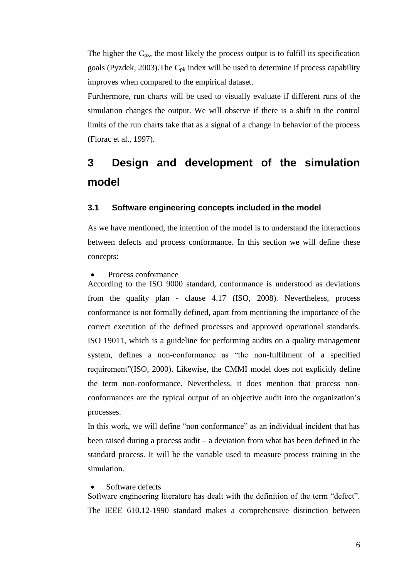The higher the  $C_{pk}$ , the most likely the process output is to fulfill its specification goals (Pyzdek, 2003). The  $C_{pk}$  index will be used to determine if process capability improves when compared to the empirical dataset.

Furthermore, run charts will be used to visually evaluate if different runs of the simulation changes the output. We will observe if there is a shift in the control limits of the run charts take that as a signal of a change in behavior of the process (Florac et al., 1997).

## <span id="page-6-0"></span>**3 Design and development of the simulation model**

#### <span id="page-6-1"></span>**3.1 Software engineering concepts included in the model**

As we have mentioned, the intention of the model is to understand the interactions between defects and process conformance. In this section we will define these concepts:

#### Process conformance

According to the ISO 9000 standard, conformance is understood as deviations from the quality plan - clause 4.17 (ISO, 2008). Nevertheless, process conformance is not formally defined, apart from mentioning the importance of the correct execution of the defined processes and approved operational standards. ISO 19011, which is a guideline for performing audits on a quality management system, defines a non-conformance as "the non-fulfilment of a specified requirement"(ISO, 2000). Likewise, the CMMI model does not explicitly define the term non-conformance. Nevertheless, it does mention that process nonconformances are the typical output of an objective audit into the organization's processes.

In this work, we will define "non conformance" as an individual incident that has been raised during a process audit – a deviation from what has been defined in the standard process. It will be the variable used to measure process training in the simulation.

#### Software defects

Software engineering literature has dealt with the definition of the term "defect". The IEEE 610.12-1990 standard makes a comprehensive distinction between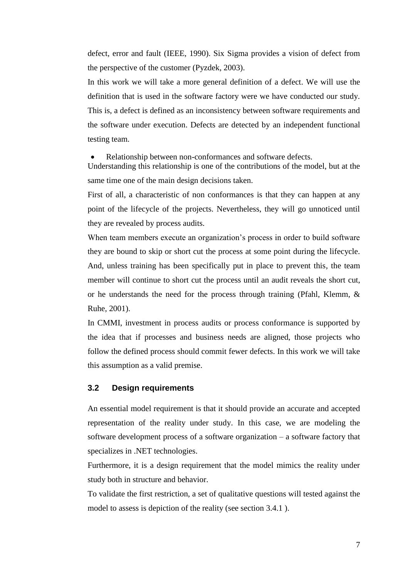defect, error and fault (IEEE, 1990). Six Sigma provides a vision of defect from the perspective of the customer (Pyzdek, 2003).

In this work we will take a more general definition of a defect. We will use the definition that is used in the software factory were we have conducted our study. This is, a defect is defined as an inconsistency between software requirements and the software under execution. Defects are detected by an independent functional testing team.

Relationship between non-conformances and software defects.

Understanding this relationship is one of the contributions of the model, but at the same time one of the main design decisions taken.

First of all, a characteristic of non conformances is that they can happen at any point of the lifecycle of the projects. Nevertheless, they will go unnoticed until they are revealed by process audits.

When team members execute an organization's process in order to build software they are bound to skip or short cut the process at some point during the lifecycle. And, unless training has been specifically put in place to prevent this, the team member will continue to short cut the process until an audit reveals the short cut, or he understands the need for the process through training (Pfahl, Klemm, & Ruhe, 2001).

In CMMI, investment in process audits or process conformance is supported by the idea that if processes and business needs are aligned, those projects who follow the defined process should commit fewer defects. In this work we will take this assumption as a valid premise.

#### <span id="page-7-0"></span>**3.2 Design requirements**

An essential model requirement is that it should provide an accurate and accepted representation of the reality under study. In this case, we are modeling the software development process of a software organization – a software factory that specializes in .NET technologies.

Furthermore, it is a design requirement that the model mimics the reality under study both in structure and behavior.

To validate the first restriction, a set of qualitative questions will tested against the model to assess is depiction of the reality (see section [3.4.1 \)](#page-11-1).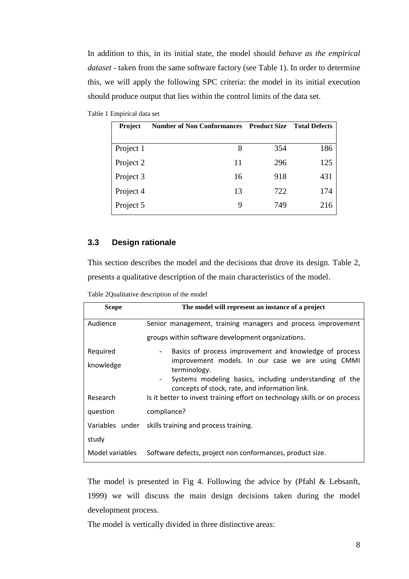In addition to this, in its initial state, the model should *behave as the empirical dataset* - taken from the same software factory (see [Table 1\)](#page-8-0). In order to determine this, we will apply the following SPC criteria: the model in its initial execution should produce output that lies within the control limits of the data set.

<span id="page-8-0"></span>

| <b>Project</b> | <b>Number of Non Conformances</b> | <b>Product Size</b> | <b>Total Defects</b> |
|----------------|-----------------------------------|---------------------|----------------------|
|                |                                   |                     |                      |
| Project 1      | 8                                 | 354                 | 186                  |
| Project 2      | 11                                | 296                 | 125                  |
| Project 3      | 16                                | 918                 | 431                  |
| Project 4      | 13                                | 722                 | 174                  |
| Project 5      | 9                                 | 749                 | 216                  |

#### **3.3 Design rationale**

This section describes the model and the decisions that drove its design. [Table 2,](#page-8-1) presents a qualitative description of the main characteristics of the model.

<span id="page-8-1"></span>

| <b>Scope</b>    | The model will represent an instance of a project                                                                                     |
|-----------------|---------------------------------------------------------------------------------------------------------------------------------------|
| Audience        | Senior management, training managers and process improvement                                                                          |
|                 | groups within software development organizations.                                                                                     |
| Required        | Basics of process improvement and knowledge of process                                                                                |
| knowledge       | improvement models. In our case we are using CMMI<br>terminology.                                                                     |
|                 | Systems modeling basics, including understanding of the<br>$\overline{\phantom{a}}$<br>concepts of stock, rate, and information link. |
| Research        | Is it better to invest training effort on technology skills or on process                                                             |
| question        | compliance?                                                                                                                           |
|                 | Variables under skills training and process training.                                                                                 |
| study           |                                                                                                                                       |
| Model variables | Software defects, project non conformances, product size.                                                                             |

The model is presented in [Fig](#page-9-0) 4. Following the advice by (Pfahl & Lebsanft, 1999) we will discuss the main design decisions taken during the model development process.

The model is vertically divided in three distinctive areas: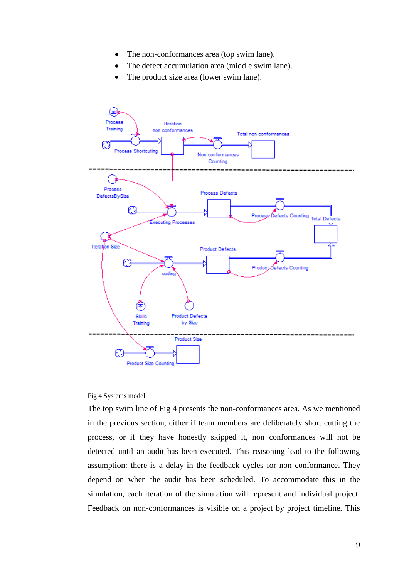- The non-conformances area (top swim lane).
- The defect accumulation area (middle swim lane).
- The product size area (lower swim lane).



#### <span id="page-9-0"></span>Fig 4 Systems model

The top swim line of [Fig](#page-9-0) 4 presents the non-conformances area. As we mentioned in the previous section, either if team members are deliberately short cutting the process, or if they have honestly skipped it, non conformances will not be detected until an audit has been executed. This reasoning lead to the following assumption: there is a delay in the feedback cycles for non conformance. They depend on when the audit has been scheduled. To accommodate this in the simulation, each iteration of the simulation will represent and individual project. Feedback on non-conformances is visible on a project by project timeline. This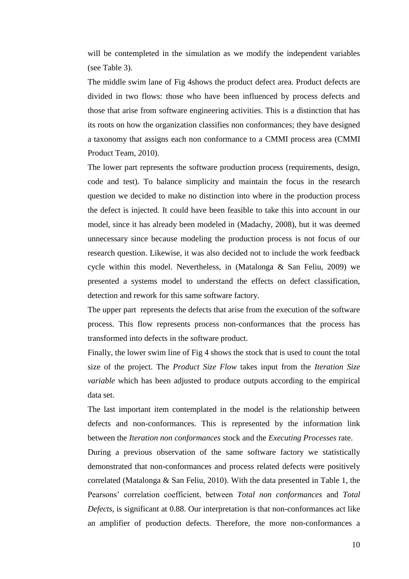will be contempleted in the simulation as we modify the independent variables (see [Table 3\)](#page-11-2).

The middle swim lane of [Fig](#page-9-0) 4shows the product defect area. Product defects are divided in two flows: those who have been influenced by process defects and those that arise from software engineering activities. This is a distinction that has its roots on how the organization classifies non conformances; they have designed a taxonomy that assigns each non conformance to a CMMI process area (CMMI Product Team, 2010).

The lower part represents the software production process (requirements, design, code and test). To balance simplicity and maintain the focus in the research question we decided to make no distinction into where in the production process the defect is injected. It could have been feasible to take this into account in our model, since it has already been modeled in (Madachy, 2008), but it was deemed unnecessary since because modeling the production process is not focus of our research question. Likewise, it was also decided not to include the work feedback cycle within this model. Nevertheless, in (Matalonga & San Feliu, 2009) we presented a systems model to understand the effects on defect classification, detection and rework for this same software factory.

The upper part represents the defects that arise from the execution of the software process. This flow represents process non-conformances that the process has transformed into defects in the software product.

Finally, the lower swim line of [Fig](#page-9-0) 4 shows the stock that is used to count the total size of the project. The *Product Size Flow* takes input from the *Iteration Size variable* which has been adjusted to produce outputs according to the empirical data set.

The last important item contemplated in the model is the relationship between defects and non-conformances. This is represented by the information link between the *Iteration non conformances* stock and the *Executing Processes* rate.

During a previous observation of the same software factory we statistically demonstrated that non-conformances and process related defects were positively correlated (Matalonga & San Feliu, 2010). With the data presented in [Table 1,](#page-8-0) the Pearsons' correlation coefficient, between *Total non conformances* and *Total Defects*, is significant at 0.88. Our interpretation is that non-conformances act like an amplifier of production defects. Therefore, the more non-conformances a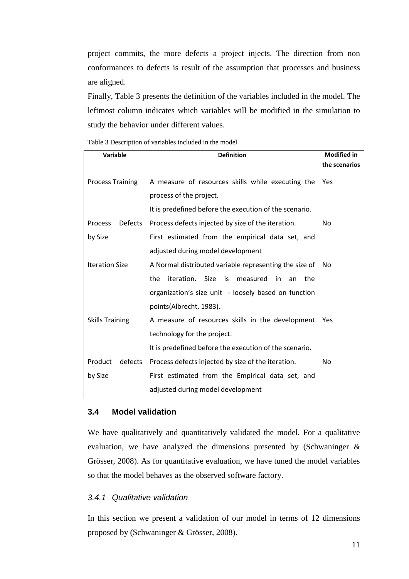project commits, the more defects a project injects. The direction from non conformances to defects is result of the assumption that processes and business are aligned.

Finally, [Table 3](#page-11-2) presents the definition of the variables included in the model. The leftmost column indicates which variables will be modified in the simulation to study the behavior under different values.

<span id="page-11-2"></span>

| Table 3 Description of variables included in the model |  |
|--------------------------------------------------------|--|
|--------------------------------------------------------|--|

| <b>Variable</b>           | <b>Definition</b>                                           | <b>Modified in</b> |
|---------------------------|-------------------------------------------------------------|--------------------|
|                           |                                                             | the scenarios      |
| <b>Process Training</b>   | A measure of resources skills while executing the           | Yes                |
|                           | process of the project.                                     |                    |
|                           | It is predefined before the execution of the scenario.      |                    |
| <b>Defects</b><br>Process | Process defects injected by size of the iteration.          | No.                |
| by Size                   | First estimated from the empirical data set, and            |                    |
|                           | adjusted during model development                           |                    |
| <b>Iteration Size</b>     | A Normal distributed variable representing the size of      | No.                |
|                           | iteration. Size is<br>the<br>measured<br>in in<br>the<br>an |                    |
|                           | organization's size unit - loosely based on function        |                    |
|                           | points(Albrecht, 1983).                                     |                    |
| <b>Skills Training</b>    | A measure of resources skills in the development            | Yes                |
|                           | technology for the project.                                 |                    |
|                           | It is predefined before the execution of the scenario.      |                    |
| Product<br>defects        | Process defects injected by size of the iteration.          | No.                |
| by Size                   | First estimated from the Empirical data set, and            |                    |
|                           | adjusted during model development                           |                    |

#### <span id="page-11-0"></span>**3.4 Model validation**

We have qualitatively and quantitatively validated the model. For a qualitative evaluation, we have analyzed the dimensions presented by (Schwaninger & Grösser, 2008). As for quantitative evaluation, we have tuned the model variables so that the model behaves as the observed software factory.

#### <span id="page-11-1"></span>*3.4.1 Qualitative validation*

In this section we present a validation of our model in terms of 12 dimensions proposed by (Schwaninger & Grösser, 2008).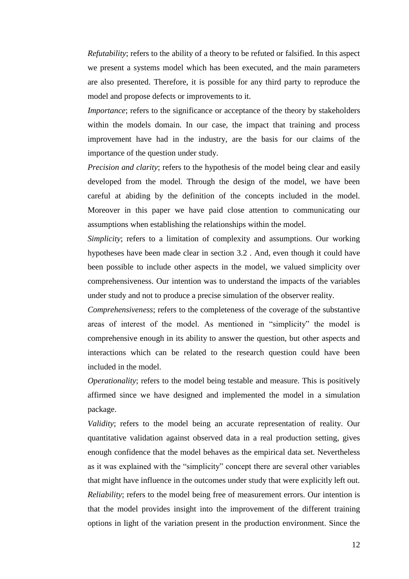*Refutability*; refers to the ability of a theory to be refuted or falsified. In this aspect we present a systems model which has been executed, and the main parameters are also presented. Therefore, it is possible for any third party to reproduce the model and propose defects or improvements to it.

*Importance*; refers to the significance or acceptance of the theory by stakeholders within the models domain. In our case, the impact that training and process improvement have had in the industry, are the basis for our claims of the importance of the question under study.

*Precision and clarity*; refers to the hypothesis of the model being clear and easily developed from the model. Through the design of the model, we have been careful at abiding by the definition of the concepts included in the model. Moreover in this paper we have paid close attention to communicating our assumptions when establishing the relationships within the model.

*Simplicity*; refers to a limitation of complexity and assumptions. Our working hypotheses have been made clear in section [3.2 .](#page-7-0) And, even though it could have been possible to include other aspects in the model, we valued simplicity over comprehensiveness. Our intention was to understand the impacts of the variables under study and not to produce a precise simulation of the observer reality.

*Comprehensiveness*; refers to the completeness of the coverage of the substantive areas of interest of the model. As mentioned in "simplicity" the model is comprehensive enough in its ability to answer the question, but other aspects and interactions which can be related to the research question could have been included in the model.

*Operationality*; refers to the model being testable and measure. This is positively affirmed since we have designed and implemented the model in a simulation package.

*Validity*; refers to the model being an accurate representation of reality. Our quantitative validation against observed data in a real production setting, gives enough confidence that the model behaves as the empirical data set. Nevertheless as it was explained with the "simplicity" concept there are several other variables that might have influence in the outcomes under study that were explicitly left out. *Reliability*; refers to the model being free of measurement errors. Our intention is that the model provides insight into the improvement of the different training options in light of the variation present in the production environment. Since the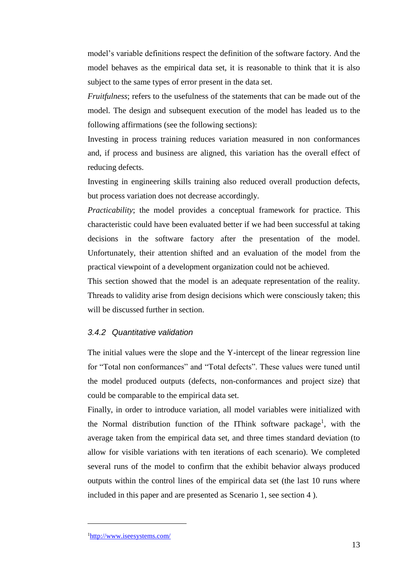model's variable definitions respect the definition of the software factory. And the model behaves as the empirical data set, it is reasonable to think that it is also subject to the same types of error present in the data set.

*Fruitfulness*; refers to the usefulness of the statements that can be made out of the model. The design and subsequent execution of the model has leaded us to the following affirmations (see the following sections):

Investing in process training reduces variation measured in non conformances and, if process and business are aligned, this variation has the overall effect of reducing defects.

Investing in engineering skills training also reduced overall production defects, but process variation does not decrease accordingly.

*Practicability*; the model provides a conceptual framework for practice. This characteristic could have been evaluated better if we had been successful at taking decisions in the software factory after the presentation of the model. Unfortunately, their attention shifted and an evaluation of the model from the practical viewpoint of a development organization could not be achieved.

This section showed that the model is an adequate representation of the reality. Threads to validity arise from design decisions which were consciously taken; this will be discussed further in section.

#### *3.4.2 Quantitative validation*

The initial values were the slope and the Y-intercept of the linear regression line for "Total non conformances" and "Total defects". These values were tuned until the model produced outputs (defects, non-conformances and project size) that could be comparable to the empirical data set.

Finally, in order to introduce variation, all model variables were initialized with the Normal distribution function of the IThink software package<sup>1</sup>, with the average taken from the empirical data set, and three times standard deviation (to allow for visible variations with ten iterations of each scenario). We completed several runs of the model to confirm that the exhibit behavior always produced outputs within the control lines of the empirical data set (the last 10 runs where included in this paper and are presented as Scenario 1, see section [4 \)](#page-14-0).

1

<sup>1</sup><http://www.iseesystems.com/>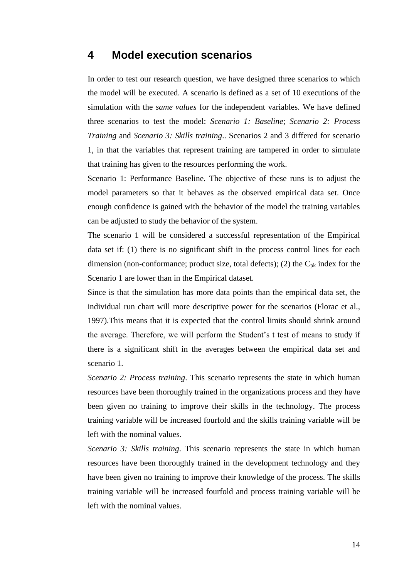### <span id="page-14-0"></span>**4 Model execution scenarios**

In order to test our research question, we have designed three scenarios to which the model will be executed. A scenario is defined as a set of 10 executions of the simulation with the *same values* for the independent variables. We have defined three scenarios to test the model: *Scenario 1: Baseline*; *Scenario 2: Process Training* and *Scenario 3: Skills training*.. Scenarios 2 and 3 differed for scenario 1, in that the variables that represent training are tampered in order to simulate that training has given to the resources performing the work.

Scenario 1: Performance Baseline. The objective of these runs is to adjust the model parameters so that it behaves as the observed empirical data set. Once enough confidence is gained with the behavior of the model the training variables can be adjusted to study the behavior of the system.

The scenario 1 will be considered a successful representation of the Empirical data set if: (1) there is no significant shift in the process control lines for each dimension (non-conformance; product size, total defects); (2) the  $C_{pk}$  index for the Scenario 1 are lower than in the Empirical dataset.

Since is that the simulation has more data points than the empirical data set, the individual run chart will more descriptive power for the scenarios (Florac et al., 1997).This means that it is expected that the control limits should shrink around the average. Therefore, we will perform the Student's t test of means to study if there is a significant shift in the averages between the empirical data set and scenario 1.

*Scenario 2: Process training*. This scenario represents the state in which human resources have been thoroughly trained in the organizations process and they have been given no training to improve their skills in the technology. The process training variable will be increased fourfold and the skills training variable will be left with the nominal values.

*Scenario 3: Skills training*. This scenario represents the state in which human resources have been thoroughly trained in the development technology and they have been given no training to improve their knowledge of the process. The skills training variable will be increased fourfold and process training variable will be left with the nominal values.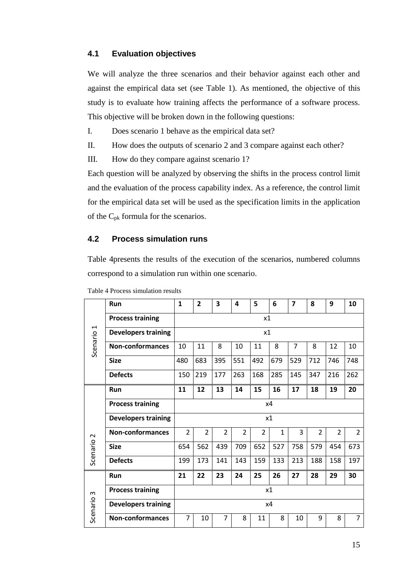#### <span id="page-15-1"></span>**4.1 Evaluation objectives**

We will analyze the three scenarios and their behavior against each other and against the empirical data set (see [Table 1\)](#page-8-0). As mentioned, the objective of this study is to evaluate how training affects the performance of a software process. This objective will be broken down in the following questions:

I. Does scenario 1 behave as the empirical data set?

II. How does the outputs of scenario 2 and 3 compare against each other?

III. How do they compare against scenario 1?

Each question will be analyzed by observing the shifts in the process control limit and the evaluation of the process capability index. As a reference, the control limit for the empirical data set will be used as the specification limits in the application of the Cpk formula for the scenarios.

#### **4.2 Process simulation runs**

[Table 4p](#page-15-0)resents the results of the execution of the scenarios, numbered columns correspond to a simulation run within one scenario.

| $\overline{\phantom{0}}$ | Run                        | $\mathbf{1}$   | $\overline{2}$ | 3              | 4              | 5              | 6            | $\overline{\mathbf{z}}$ | 8              | 9              | 10             |  |
|--------------------------|----------------------------|----------------|----------------|----------------|----------------|----------------|--------------|-------------------------|----------------|----------------|----------------|--|
|                          | <b>Process training</b>    |                | x1             |                |                |                |              |                         |                |                |                |  |
|                          | <b>Developers training</b> |                | x1             |                |                |                |              |                         |                |                |                |  |
| Scenario                 | <b>Non-conformances</b>    | 10             | 11             | 8              | 10             | 11             | 8            | $\overline{7}$          | 8              | 12             | 10             |  |
|                          | <b>Size</b>                | 480            | 683            | 395            | 551            | 492            | 679          | 529                     | 712            | 746            | 748            |  |
|                          | <b>Defects</b>             | 150            | 219            | 177            | 263            | 168            | 285          | 145                     | 347            | 216            | 262            |  |
|                          | <b>Run</b>                 | 11             | 12             | 13             | 14             | 15             | 16           | 17                      | 18             | 19             | 20             |  |
|                          | <b>Process training</b>    |                | x4             |                |                |                |              |                         |                |                |                |  |
|                          | <b>Developers training</b> | x1             |                |                |                |                |              |                         |                |                |                |  |
| $\sim$                   | <b>Non-conformances</b>    | $\overline{2}$ | $\overline{2}$ | $\overline{2}$ | $\overline{2}$ | $\overline{2}$ | $\mathbf{1}$ | 3                       | $\overline{2}$ | $\overline{2}$ | $\overline{2}$ |  |
| Scenario                 | <b>Size</b>                | 654            | 562            | 439            | 709            | 652            | 527          | 758                     | 579            | 454            | 673            |  |
|                          | <b>Defects</b>             | 199            | 173            | 141            | 143            | 159            | 133          | 213                     | 188            | 158            | 197            |  |
|                          | Run                        | 21             | 22             | 23             | 24             | 25             | 26           | 27                      | 28             | 29             | 30             |  |
| $\sim$                   | <b>Process training</b>    | x1             |                |                |                |                |              |                         |                |                |                |  |
| Scenario                 | <b>Developers training</b> |                | x4             |                |                |                |              |                         |                |                |                |  |
|                          | <b>Non-conformances</b>    | 7              | 10             | 7              | 8              | 11             | 8            | 10                      | 9              | 8              | $\overline{7}$ |  |

<span id="page-15-0"></span>Table 4 Process simulation results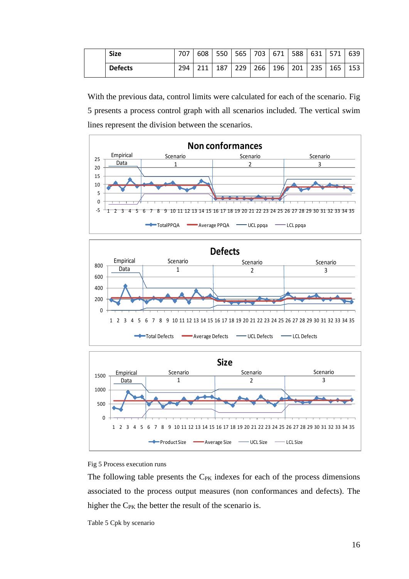| <b>Size</b>    | 707 | 608 | 550 | 565 | 703         | 671 | 588 l | 631           | $\vert$ 571 | 639 |
|----------------|-----|-----|-----|-----|-------------|-----|-------|---------------|-------------|-----|
| <b>Defects</b> | 294 | 211 | 187 |     | $229$   266 | 196 | 201   | .   235   165 |             | 153 |

With the previous data, control limits were calculated for each of the scenario. [Fig](#page-16-0)  [5](#page-16-0) presents a process control graph with all scenarios included. The vertical swim lines represent the division between the scenarios.







<span id="page-16-0"></span>

The following table presents the  $C_{PK}$  indexes for each of the process dimensions associated to the process output measures (non conformances and defects). The higher the  $C_{PK}$  the better the result of the scenario is.

Table 5 Cpk by scenario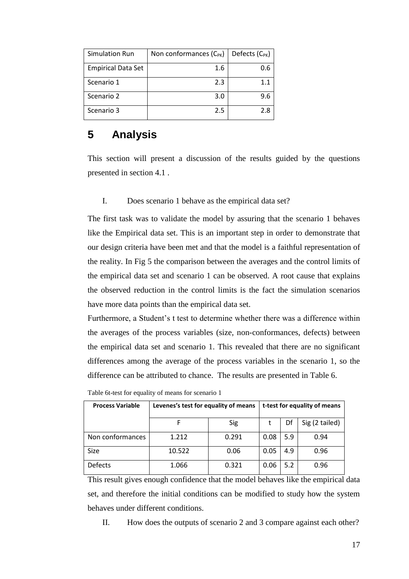| <b>Simulation Run</b>     | Non conformances $(C_{PK})$ | Defects (C <sub>PK</sub> ) |
|---------------------------|-----------------------------|----------------------------|
| <b>Empirical Data Set</b> | 1.6                         | 0.6                        |
| Scenario 1                | 2.3                         | 1.1                        |
| Scenario 2                | 3.0                         | 9.6                        |
| Scenario 3                | 2.5                         | 2.8                        |

## <span id="page-17-0"></span>**5 Analysis**

This section will present a discussion of the results guided by the questions presented in section [4.1 .](#page-15-1)

I. Does scenario 1 behave as the empirical data set?

The first task was to validate the model by assuring that the scenario 1 behaves like the Empirical data set. This is an important step in order to demonstrate that our design criteria have been met and that the model is a faithful representation of the reality. In [Fig 5](#page-16-0) the comparison between the averages and the control limits of the empirical data set and scenario 1 can be observed. A root cause that explains the observed reduction in the control limits is the fact the simulation scenarios have more data points than the empirical data set.

Furthermore, a Student's t test to determine whether there was a difference within the averages of the process variables (size, non-conformances, defects) between the empirical data set and scenario 1. This revealed that there are no significant differences among the average of the process variables in the scenario 1, so the difference can be attributed to chance. The results are presented in [Table 6.](#page-17-1)

| <b>Process Variable</b> | Levenes's test for equality of means |       |      |     | t-test for equality of means |  |  |  |
|-------------------------|--------------------------------------|-------|------|-----|------------------------------|--|--|--|
|                         |                                      | Sig   |      | Df  | Sig (2 tailed)               |  |  |  |
| Non conformances        | 1.212                                | 0.291 | 0.08 | 5.9 | 0.94                         |  |  |  |
| Size                    | 10.522                               | 0.06  | 0.05 | 4.9 | 0.96                         |  |  |  |
| <b>Defects</b>          | 1.066                                | 0.321 | 0.06 | 5.2 | 0.96                         |  |  |  |

<span id="page-17-1"></span>Table 6t-test for equality of means for scenario 1

This result gives enough confidence that the model behaves like the empirical data set, and therefore the initial conditions can be modified to study how the system behaves under different conditions.

II. How does the outputs of scenario 2 and 3 compare against each other?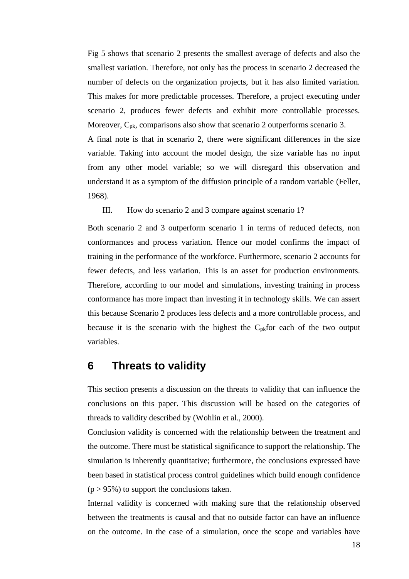[Fig 5](#page-16-0) shows that scenario 2 presents the smallest average of defects and also the smallest variation. Therefore, not only has the process in scenario 2 decreased the number of defects on the organization projects, but it has also limited variation. This makes for more predictable processes. Therefore, a project executing under scenario 2, produces fewer defects and exhibit more controllable processes. Moreover, C<sub>pk</sub>, comparisons also show that scenario 2 outperforms scenario 3.

A final note is that in scenario 2, there were significant differences in the size variable. Taking into account the model design, the size variable has no input from any other model variable; so we will disregard this observation and understand it as a symptom of the diffusion principle of a random variable (Feller, 1968).

III. How do scenario 2 and 3 compare against scenario 1?

Both scenario 2 and 3 outperform scenario 1 in terms of reduced defects, non conformances and process variation. Hence our model confirms the impact of training in the performance of the workforce. Furthermore, scenario 2 accounts for fewer defects, and less variation. This is an asset for production environments. Therefore, according to our model and simulations, investing training in process conformance has more impact than investing it in technology skills. We can assert this because Scenario 2 produces less defects and a more controllable process, and because it is the scenario with the highest the  $C_{pk}$  for each of the two output variables.

## <span id="page-18-0"></span>**6 Threats to validity**

This section presents a discussion on the threats to validity that can influence the conclusions on this paper. This discussion will be based on the categories of threads to validity described by (Wohlin et al., 2000).

Conclusion validity is concerned with the relationship between the treatment and the outcome. There must be statistical significance to support the relationship. The simulation is inherently quantitative; furthermore, the conclusions expressed have been based in statistical process control guidelines which build enough confidence  $(p > 95\%)$  to support the conclusions taken.

Internal validity is concerned with making sure that the relationship observed between the treatments is causal and that no outside factor can have an influence on the outcome. In the case of a simulation, once the scope and variables have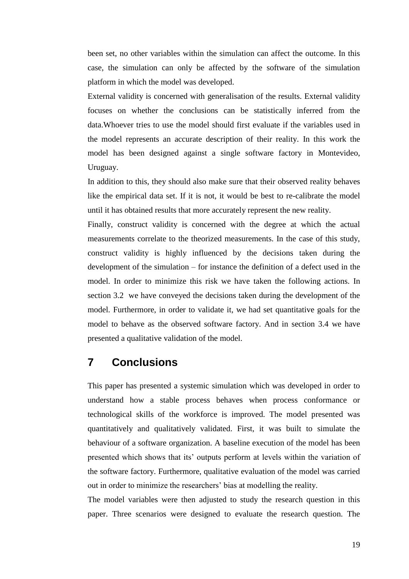been set, no other variables within the simulation can affect the outcome. In this case, the simulation can only be affected by the software of the simulation platform in which the model was developed.

External validity is concerned with generalisation of the results. External validity focuses on whether the conclusions can be statistically inferred from the data.Whoever tries to use the model should first evaluate if the variables used in the model represents an accurate description of their reality. In this work the model has been designed against a single software factory in Montevideo, Uruguay.

In addition to this, they should also make sure that their observed reality behaves like the empirical data set. If it is not, it would be best to re-calibrate the model until it has obtained results that more accurately represent the new reality.

Finally, construct validity is concerned with the degree at which the actual measurements correlate to the theorized measurements. In the case of this study, construct validity is highly influenced by the decisions taken during the development of the simulation – for instance the definition of a defect used in the model. In order to minimize this risk we have taken the following actions. In section [3.2](#page-7-0) we have conveyed the decisions taken during the development of the model. Furthermore, in order to validate it, we had set quantitative goals for the model to behave as the observed software factory. And in section [3.4 w](#page-11-0)e have presented a qualitative validation of the model.

## **7 Conclusions**

This paper has presented a systemic simulation which was developed in order to understand how a stable process behaves when process conformance or technological skills of the workforce is improved. The model presented was quantitatively and qualitatively validated. First, it was built to simulate the behaviour of a software organization. A baseline execution of the model has been presented which shows that its' outputs perform at levels within the variation of the software factory. Furthermore, qualitative evaluation of the model was carried out in order to minimize the researchers' bias at modelling the reality.

The model variables were then adjusted to study the research question in this paper. Three scenarios were designed to evaluate the research question. The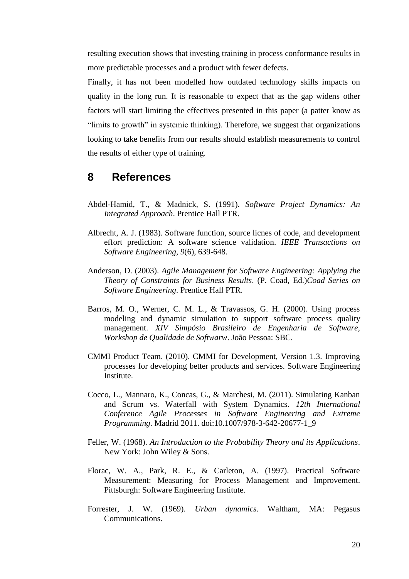resulting execution shows that investing training in process conformance results in more predictable processes and a product with fewer defects.

Finally, it has not been modelled how outdated technology skills impacts on quality in the long run. It is reasonable to expect that as the gap widens other factors will start limiting the effectives presented in this paper (a patter know as "limits to growth" in systemic thinking). Therefore, we suggest that organizations looking to take benefits from our results should establish measurements to control the results of either type of training.

## **8 References**

- Abdel-Hamid, T., & Madnick, S. (1991). *Software Project Dynamics: An Integrated Approach*. Prentice Hall PTR.
- Albrecht, A. J. (1983). Software function, source licnes of code, and development effort prediction: A software science validation. *IEEE Transactions on Software Engineering*, *9*(6), 639-648.
- Anderson, D. (2003). *Agile Management for Software Engineering: Applying the Theory of Constraints for Business Results*. (P. Coad, Ed.)*Coad Series on Software Engineering*. Prentice Hall PTR.
- Barros, M. O., Werner, C. M. L., & Travassos, G. H. (2000). Using process modeling and dynamic simulation to support software process quality management. *XIV Simpósio Brasileiro de Engenharia de Software, Workshop de Qualidade de Softwarw*. João Pessoa: SBC.
- CMMI Product Team. (2010). CMMI for Development, Version 1.3. Improving processes for developing better products and services. Software Engineering Institute.
- Cocco, L., Mannaro, K., Concas, G., & Marchesi, M. (2011). Simulating Kanban and Scrum vs. Waterfall with System Dynamics. *12th International Conference Agile Processes in Software Engineering and Extreme Programming*. Madrid 2011. doi:10.1007/978-3-642-20677-1\_9
- Feller, W. (1968). *An Introduction to the Probability Theory and its Applications*. New York: John Wiley & Sons.
- Florac, W. A., Park, R. E., & Carleton, A. (1997). Practical Software Measurement: Measuring for Process Management and Improvement. Pittsburgh: Software Engineering Institute.
- Forrester, J. W. (1969). *Urban dynamics*. Waltham, MA: Pegasus Communications.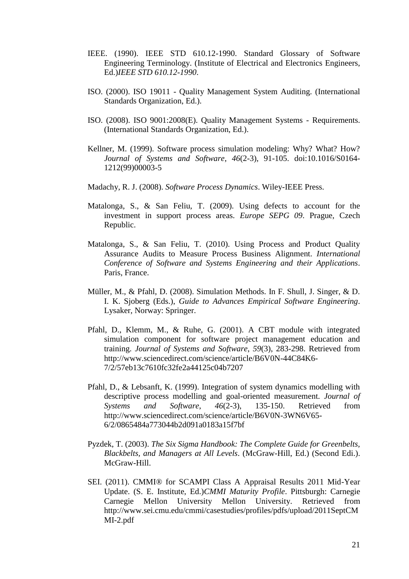- IEEE. (1990). IEEE STD 610.12-1990. Standard Glossary of Software Engineering Terminology. (Institute of Electrical and Electronics Engineers, Ed.)*IEEE STD 610.12-1990*.
- ISO. (2000). ISO 19011 Quality Management System Auditing. (International Standards Organization, Ed.).
- ISO. (2008). ISO 9001:2008(E). Quality Management Systems Requirements. (International Standards Organization, Ed.).
- Kellner, M. (1999). Software process simulation modeling: Why? What? How? *Journal of Systems and Software*, *46*(2-3), 91-105. doi:10.1016/S0164- 1212(99)00003-5
- Madachy, R. J. (2008). *Software Process Dynamics*. Wiley-IEEE Press.
- Matalonga, S., & San Feliu, T. (2009). Using defects to account for the investment in support process areas. *Europe SEPG 09*. Prague, Czech Republic.
- Matalonga, S., & San Feliu, T. (2010). Using Process and Product Quality Assurance Audits to Measure Process Business Alignment. *International Conference of Software and Systems Engineering and their Applications*. Paris, France.
- Müller, M., & Pfahl, D. (2008). Simulation Methods. In F. Shull, J. Singer, & D. I. K. Sjoberg (Eds.), *Guide to Advances Empirical Software Engineering*. Lysaker, Norway: Springer.
- Pfahl, D., Klemm, M., & Ruhe, G. (2001). A CBT module with integrated simulation component for software project management education and training. *Journal of Systems and Software*, *59*(3), 283-298. Retrieved from http://www.sciencedirect.com/science/article/B6V0N-44C84K6- 7/2/57eb13c7610fc32fe2a44125c04b7207
- Pfahl, D., & Lebsanft, K. (1999). Integration of system dynamics modelling with descriptive process modelling and goal-oriented measurement. *Journal of Systems and Software*, *46*(2-3), 135-150. Retrieved from http://www.sciencedirect.com/science/article/B6V0N-3WN6V65- 6/2/0865484a773044b2d091a0183a15f7bf
- Pyzdek, T. (2003). *The Six Sigma Handbook: The Complete Guide for Greenbelts, Blackbelts, and Managers at All Levels*. (McGraw-Hill, Ed.) (Second Edi.). McGraw-Hill.
- SEI. (2011). CMMI® for SCAMPI Class A Appraisal Results 2011 Mid-Year Update. (S. E. Institute, Ed.)*CMMI Maturity Profile*. Pittsburgh: Carnegie Carnegie Mellon University Mellon University. Retrieved from http://www.sei.cmu.edu/cmmi/casestudies/profiles/pdfs/upload/2011SeptCM MI-2.pdf